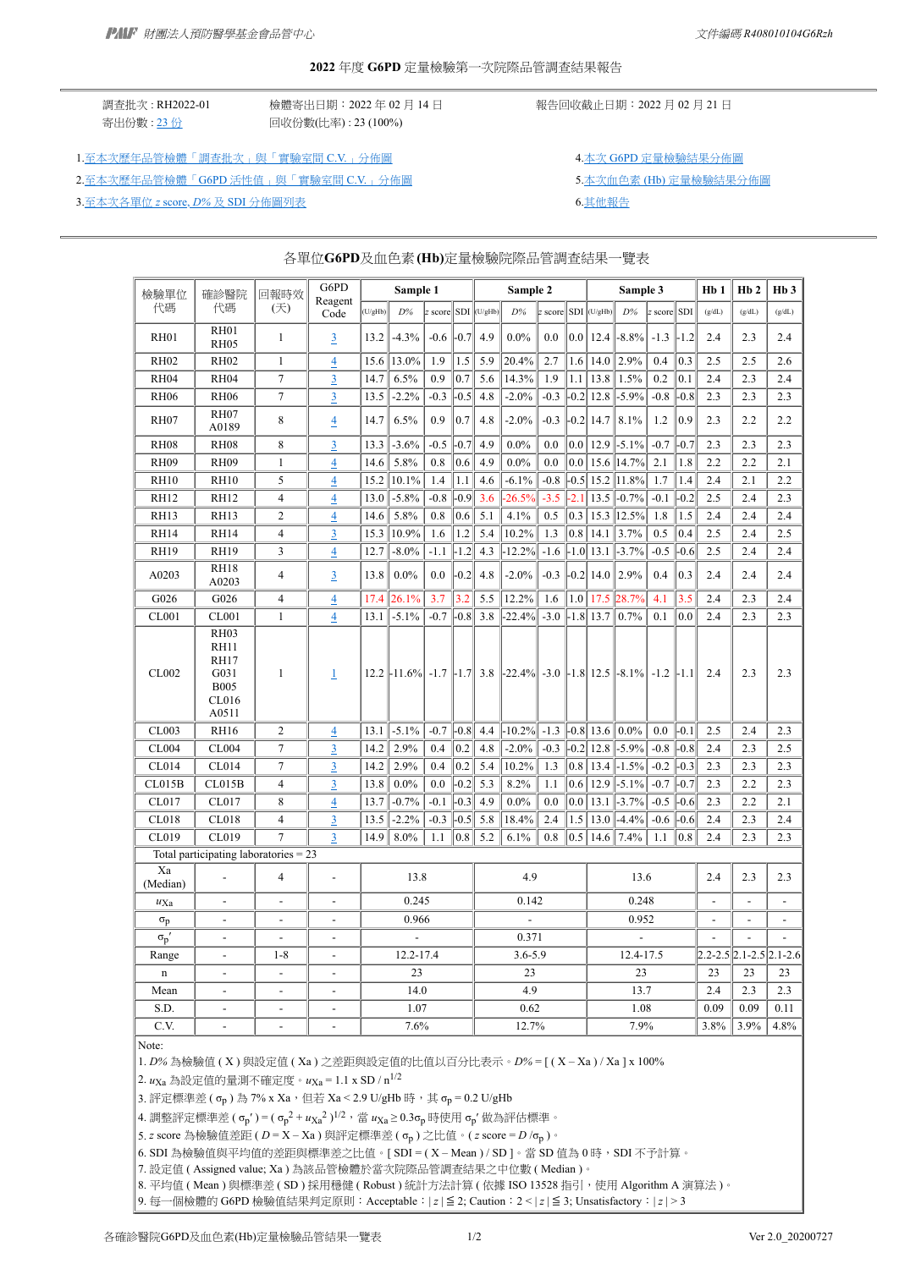#### **2022** 年度 **G6PD** 定量檢驗第一次院際品管調查結果報告

調查批次 : RH2022-01 檢體寄出日期:2022 年 02 月 14 日 報告回收截止日期:2022 月 02 月 21 日 寄出份數 : [23](https://g6pd.qap.tw/MIS/RHdataAlgA2020.php?BatchNo=RH2022-01&ParticipatingLab=1) 份 <br>
回收份數(比率) : 23 (100%)

1.[至本次歷年品管檢體「調查批次」與「實驗室間](https://g6pd.qap.tw/MIS/Diagram_CV_Summary.php?DiagramType=CV&FromBatchNo=RH2019-02&ToBatchNo=RH2022-01&ShowLast=1) C.V.」分佈圖 4.本 56PD [定量檢驗結果分佈圖](https://g6pd.qap.tw/MIS/RH202201g6pd.gif)

2.至本次歷年品管檢體「G6PD [活性值」與「實驗室間](https://g6pd.qap.tw/MIS/Diagram_CV_Summary.php?DiagramType=CV_Conc&FromBatchNo=RH2019-02&ToBatchNo=RH2022-01&ShowLast=1) C.V.」分佈圖 第2000年第2000年第201日 5.本次血色素 (Hb) [定量檢驗結果分佈圖](https://g6pd.qap.tw/MIS/RH202201hb.gif)

3.[至本次各單位](https://g6pd.qap.tw/MIS/Diagram_Zscore_Summary.php?FromBatchNo=RH2019-02&ToBatchNo=RH2022-01&ShowLast=1) *[z](https://g6pd.qap.tw/MIS/Diagram_Zscore_Summary.php?FromBatchNo=RH2019-02&ToBatchNo=RH2022-01&ShowLast=1)* [score,](https://g6pd.qap.tw/MIS/Diagram_Zscore_Summary.php?FromBatchNo=RH2019-02&ToBatchNo=RH2022-01&ShowLast=1) *[D%](https://g6pd.qap.tw/MIS/Diagram_Zscore_Summary.php?FromBatchNo=RH2019-02&ToBatchNo=RH2022-01&ShowLast=1)* 及 SDI [分佈圖列表](https://g6pd.qap.tw/MIS/Diagram_Zscore_Summary.php?FromBatchNo=RH2019-02&ToBatchNo=RH2022-01&ShowLast=1) 6.[其他報告](https://g6pd.qap.tw/MIS/RH202201Others.htm)

| 檢驗單位             | 確診醫院                                                                        | 回報時效           | G6PD                     |         | Sample 1                    |        |         |                     | Sample 2         |         |         | Sample 3      |                      |         | Hb 1                  | Hb2            | H <sub>b</sub> 3        |                          |
|------------------|-----------------------------------------------------------------------------|----------------|--------------------------|---------|-----------------------------|--------|---------|---------------------|------------------|---------|---------|---------------|----------------------|---------|-----------------------|----------------|-------------------------|--------------------------|
| 代碼               | 代碼                                                                          | (天)            | Reagent<br>Code          | (U/gHb) | $D\%$                       |        |         | z score SDI (U/gHb) | D%               | z score |         | $SDI$ (U/gHb) | $D\%$                | z score | SDI                   | (g/dL)         | (g/dL)                  | $(g/dL)$                 |
| <b>RH01</b>      | <b>RH01</b><br><b>RH05</b>                                                  | $\mathbf{1}$   | $\overline{3}$           | 13.2    | $-4.3%$                     | $-0.6$ | $-0.7$  | 4.9                 | $0.0\%$          | 0.0     | 0.0     | 12.4          | $-8.8\%$             | $-1.3$  | $-1.2$                | 2.4            | 2.3                     | 2.4                      |
| <b>RH02</b>      | <b>RH02</b>                                                                 | $\mathbf{1}$   | $\overline{4}$           | 15.6    | 13.0%                       | 1.9    | 1.5     | 5.9                 | 20.4%            | 2.7     | 1.6     | 14.0          | 2.9%                 | 0.4     | 0.3                   | 2.5            | 2.5                     | 2.6                      |
| <b>RH04</b>      | <b>RH04</b>                                                                 | $\tau$         | $\overline{3}$           | 14.7    | 6.5%                        | 0.9    | 0.7     | 5.6                 | 14.3%            | 1.9     | 1.1     | 13.8          | 1.5%                 | 0.2     | 0.1                   | 2.4            | 2.3                     | 2.4                      |
| <b>RH06</b>      | <b>RH06</b>                                                                 | $\tau$         | $\overline{3}$           | 13.5    | $-2.2%$                     | $-0.3$ | $-0.5$  | 4.8                 | $-2.0\%$         | $-0.3$  | $-0.2$  | 12.8          | $-5.9\%$             | $-0.8$  | $-0.8$                | 2.3            | 2.3                     | 2.3                      |
| RH <sub>07</sub> | <b>RH07</b>                                                                 | 8              | $\overline{4}$           | 14.7    | 6.5%                        | 0.9    | 0.7     | 4.8                 | $-2.0\%$         | $-0.3$  |         | $-0.2$ 14.7   | 8.1%                 | 1.2     | 0.9                   | 2.3            | 2.2                     | 2.2                      |
| <b>RH08</b>      | A0189<br><b>RH08</b>                                                        | 8              | $\overline{3}$           | 13.3    | $-3.6%$                     | $-0.5$ | $-0.7$  | 4.9                 | $0.0\%$          | 0.0     | 0.0     | 12.9          | $-5.1\%$             | $-0.7$  | $-0.7$                | 2.3            | 2.3                     | 2.3                      |
| <b>RH09</b>      | <b>RH09</b>                                                                 | $\mathbf{1}$   | 4                        | 14.6    | 5.8%                        | 0.8    | 0.6     | 4.9                 | $0.0\%$          | 0.0     | 0.0     | 15.6          | 14.7%                | 2.1     | 1.8                   | 2.2            | 2.2                     | 2.1                      |
| <b>RH10</b>      | <b>RH10</b>                                                                 | 5              | $\overline{4}$           | 15.2    | 10.1%                       | 1.4    | 1.1     | 4.6                 | $-6.1\%$         | $-0.8$  | $-0.5$  | 15.2          | 11.8%                | 1.7     | 1.4                   | 2.4            | 2.1                     | 2.2                      |
| <b>RH12</b>      | <b>RH12</b>                                                                 | $\overline{4}$ | $\overline{4}$           | 13.0    | $-5.8%$                     | $-0.8$ | $-0.9$  | 3.6                 | $-26.5%$         | $-3.5$  | $-2.1$  | 13.5          | $-0.7%$              | $-0.1$  | $-0.2$                | 2.5            | 2.4                     | 2.3                      |
| <b>RH13</b>      | <b>RH13</b>                                                                 | $\overline{2}$ | 4                        | 14.6    | 5.8%                        | 0.8    | $0.6\,$ | 5.1                 | 4.1%             | 0.5     | 0.3     |               | 15.3 12.5%           | 1.8     | 1.5                   | 2.4            | 2.4                     | 2.4                      |
| <b>RH14</b>      | <b>RH14</b>                                                                 | $\overline{4}$ | $\overline{3}$           | 15.3    | 10.9%                       | 1.6    | 1.2     | 5.4                 | 10.2%            | 1.3     | 0.8     | 14.1          | 3.7%                 | 0.5     | 0.4                   | 2.5            | 2.4                     | 2.5                      |
| <b>RH19</b>      | <b>RH19</b>                                                                 | 3              | 4                        | 12.7    | $-8.0\%$                    | $-1.1$ | $-1.2$  | 4.3                 | $-12.2%$         | $-1.6$  |         | $-1.0$ 13.1   | $-3.7%$              | $-0.5$  | $-0.6$                | 2.5            | 2.4                     | 2.4                      |
| A0203            | <b>RH18</b><br>A0203                                                        | 4              | $\overline{3}$           | 13.8    | $0.0\%$                     | 0.0    | $-0.2$  | 4.8                 | $-2.0\%$         | $-0.3$  |         | $-0.2$ 14.0   | 2.9%                 | 0.4     | 0.3                   | 2.4            | 2.4                     | 2.4                      |
| G026             | G026                                                                        | $\overline{4}$ | $\overline{4}$           | 17.4    | 26.1%                       | 3.7    | 3.2     | 5.5                 | 12.2%            | 1.6     | 1.0     | 17.5          | 28.7%                | 4.1     | 3.5                   | 2.4            | 2.3                     | 2.4                      |
| <b>CL001</b>     | CL001                                                                       | $\mathbf{1}$   | 4                        | 13.1    | $-5.1%$                     | $-0.7$ | $-0.8$  | 3.8                 | $-22.4%$         | $-3.0$  |         | $-1.8$ 13.7   | 0.7%                 | 0.1     | 0.0                   | 2.4            | 2.3                     | 2.3                      |
| CL002            | <b>RH03</b><br><b>RH11</b><br>RH17<br>G031<br><b>B005</b><br>CL016<br>A0511 | 1              | 1                        |         | $12.2$ -11.6% -1.7 -1.7 3.8 |        |         |                     | $ -22.4\% $ -3.0 |         |         |               | $-1.8$ 12.5 $-8.1\%$ | $-1.2$  | $\left  -1.1 \right $ | 2.4            | 2.3                     | 2.3                      |
| CL003            | <b>RH16</b>                                                                 | $\overline{2}$ | $\overline{4}$           | 13.1    | $-5.1%$                     | $-0.7$ | $-0.8$  | 4.4                 | $-10.2%$         | $-1.3$  |         | $-0.8$ 13.6   | $0.0\%$              | 0.0     | $-0.1$                | 2.5            | 2.4                     | 2.3                      |
| CL004            | CL004                                                                       | $\overline{7}$ | 3                        | 14.2    | 2.9%                        | 0.4    | 0.2     | 4.8                 | $-2.0\%$         | $-0.3$  |         | $-0.2$ 12.8   | $-5.9%$              | $-0.8$  | $-0.8$                | 2.4            | 2.3                     | 2.5                      |
| CL014            | CL014                                                                       | $\tau$         | $\overline{3}$           | 14.2    | 2.9%                        | 0.4    | 0.2     | 5.4                 | 10.2%            | 1.3     | 0.8     | 13.4          | $-1.5%$              | $-0.2$  | $-0.3$                | 2.3            | 2.3                     | 2.3                      |
| CL015B           | CL015B                                                                      | $\overline{4}$ | $\overline{3}$           | 13.8    | $0.0\%$                     | 0.0    | $-0.2$  | 5.3                 | 8.2%             | 1.1     | 0.6     | 12.9          | $-5.1%$              | $-0.7$  | $-0.7$                | 2.3            | 2.2                     | 2.3                      |
| CL017            | CL017                                                                       | 8              | $\overline{4}$           | 13.7    | $-0.7%$                     | $-0.1$ | $-0.3$  | 4.9                 | $0.0\%$          | 0.0     | $0.0\,$ | 13.1          | $-3.7%$              | $-0.5$  | $-0.6$                | 2.3            | 2.2                     | 2.1                      |
| CL018            | CL018                                                                       | $\overline{4}$ | 3                        | 13.5    | $-2.2%$                     | $-0.3$ | $-0.5$  | 5.8                 | 18.4%            | 2.4     | 1.5     | 13.0          | $-4.4%$              | $-0.6$  | $-0.6$                | 2.4            | 2.3                     | 2.4                      |
| CL019            | CL019                                                                       | 7              | 3                        | 14.9    | 8.0%                        | 1.1    | 0.8     | 5.2                 | 6.1%             | 0.8     | 0.5     | 14.6          | 7.4%                 | 1.1     | 0.8                   | 2.4            | 2.3                     | 2.3                      |
|                  | Total participating laboratories $= 23$                                     |                |                          |         |                             |        |         |                     |                  |         |         |               |                      |         |                       |                |                         |                          |
| Xa<br>(Median)   |                                                                             | $\overline{4}$ | $\overline{a}$           |         | 13.8                        |        |         |                     | 4.9              |         |         |               | 13.6                 |         |                       | 2.4            | 2.3                     | 2.3                      |
| $u_{\text{Xa}}$  | $\overline{\phantom{a}}$                                                    | $\overline{a}$ | $\overline{a}$           |         | 0.245                       |        |         |                     | 0.142            |         |         |               | 0.248                |         |                       | $\overline{a}$ | $\overline{a}$          | $\overline{\phantom{a}}$ |
| $\sigma_{\rm p}$ | ٠                                                                           | $\overline{a}$ |                          |         | 0.966                       |        |         |                     |                  |         |         |               | 0.952                |         |                       | $\overline{a}$ |                         | $\overline{a}$           |
| $\sigma_p'$      | $\overline{a}$                                                              | $\overline{a}$ | $\overline{\phantom{a}}$ |         |                             |        |         |                     | 0.371            |         |         |               |                      |         |                       | $\overline{a}$ | $\overline{a}$          | $\overline{a}$           |
| Range            | $\overline{\phantom{a}}$                                                    | $1 - 8$        | $\overline{\phantom{a}}$ |         | 12.2-17.4                   |        |         |                     | 3.6-5.9          |         |         |               | 12.4-17.5            |         |                       |                | 2.2-2.5 2.1-2.5 2.1-2.6 |                          |
| n                | $\overline{a}$                                                              | $\overline{a}$ | $\overline{a}$           |         | 23                          |        |         |                     | 23               |         |         |               | 23                   |         |                       | 23             | 23                      | 23                       |
| Mean             |                                                                             |                |                          |         | 14.0                        |        |         |                     | 4.9              |         |         |               | 13.7                 |         |                       | 2.4            | 2.3                     | 2.3                      |
| S.D.             | $\overline{a}$                                                              | $\frac{1}{2}$  | $\overline{a}$           |         | 1.07                        |        |         |                     | 0.62             |         |         |               | 1.08                 |         |                       | 0.09           | 0.09                    | 0.11                     |
| C.V.             | $\overline{a}$                                                              |                |                          |         | 7.6%                        |        |         |                     | 12.7%            |         |         |               | 7.9%                 |         |                       | 3.8%           | 3.9%                    | 4.8%                     |

### 各單位**G6PD**及血色素**(Hb)**定量檢驗院際品管調查結果一覽表

Note:

1. *D%* 為檢驗值 ( X ) 與設定值 ( Xa ) 之差距與設定值的比值以百分比表示。*D%* = [ ( X – Xa ) / Xa ] x 100%

2. *u*Xa 為設定值的量測不確定度。*u*Xa = 1.1 x SD / n1/2

3. 評定標準差 ( σ<sub>p</sub> ) 為 7% x Xa, 但若 Xa < 2.9 U/gHb 時, 其 σ<sub>p</sub> = 0.2 U/gHb

4. 調整評定標準差 ( σ<sub>p</sub>′ ) = ( σ<sub>p</sub><sup>2</sup> +  $u_{\text{Xa}}$ <sup>2</sup> )<sup>1/2</sup>,當  $u_{\text{Xa}}$  ≥ 0.3σ<sub>p</sub> 時使用 σ<sub>p</sub>′ 做為評估標準。

5. *z* score 為檢驗值差距 ( *D* = X – Xa ) 與評定標準差 ( σp ) 之比值。( *z* score = *D* /σp )。

6. SDI 為檢驗值與平均值的差距與標準差之比值。[ SDI =  $(X - Mean) / SD$ ]。當 SD 值為 0 時, SDI 不予計算。

7. 設定值 ( Assigned value; Xa ) 為該品管檢體於當次院際品管調查結果之中位數 ( Median )。

8. 平均值 ( Mean ) 與標準差 ( SD ) 採用穩健 ( Robust ) 統計方法計算 ( 依據 ISO 13528 指引, 使用 Algorithm A 演算法 )。

9. 每一個檢體的 G6PD 檢驗值結果判定原則: Acceptable: |z| ≦ 2; Caution: 2 < |z| ≦ 3; Unsatisfactory: |z| > 3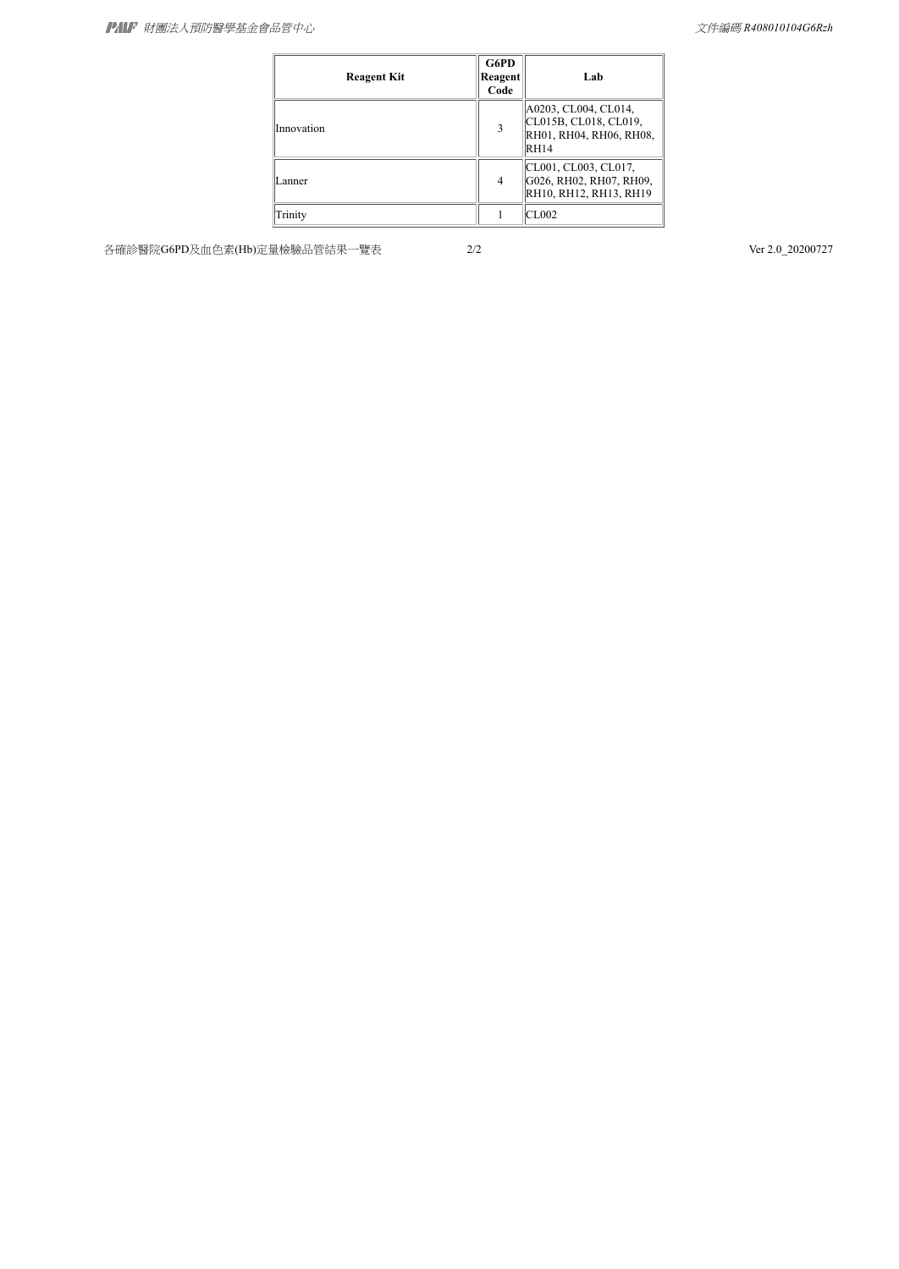| <b>Reagent Kit</b> | G6PD<br>Reagent<br>Code | Lab                                                                                     |
|--------------------|-------------------------|-----------------------------------------------------------------------------------------|
| Innovation         | 3                       | A0203, CL004, CL014,<br>CL015B, CL018, CL019,<br>RH01, RH04, RH06, RH08,<br><b>RH14</b> |
| Lanner             | 4                       | CL001, CL003, CL017,<br>G026, RH02, RH07, RH09,<br>RH10, RH12, RH13, RH19               |
| Trinity            |                         | CL002                                                                                   |

各確診醫院G6PD及血色素(Hb)定量檢驗品管結果一覽表 2/2 2020 2020 20200727 2/2 Ver 2.0\_20200727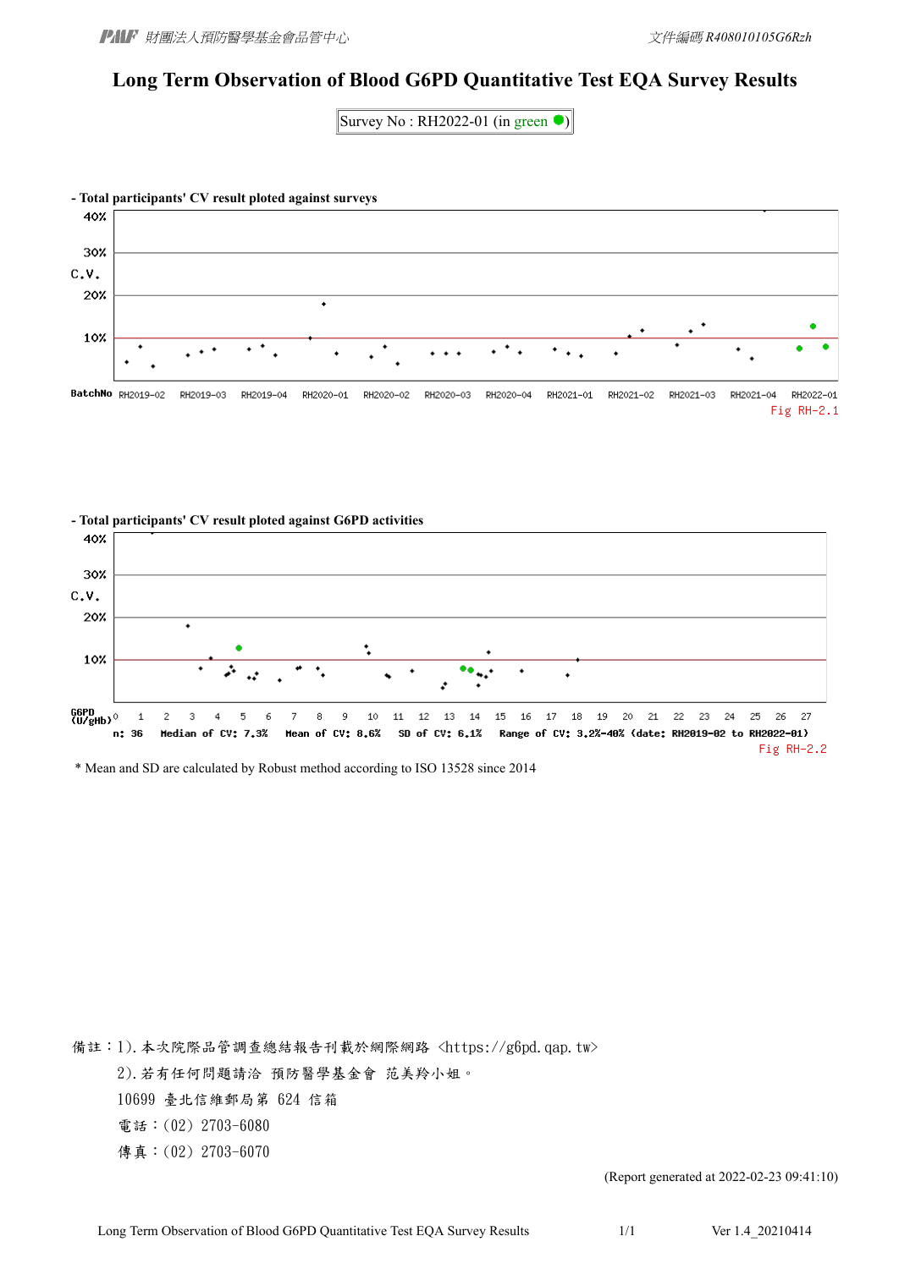# **Long Term Observation of Blood G6PD Quantitative Test EQA Survey Results**

Survey No: RH2022-01 (in green  $\bullet$ )



#### **- Total participants' CV result ploted against G6PD activities** 40% 30% C.V. 20% 10% G6PD<br>(U/eHb) <sup>()</sup> 27  $\mathbf 1$  $\overline{c}$ 3  $\overline{4}$ 5 6 7 8 9 10 11  $12$ 13 14 15 16 17 18 -19 20 21 22 23 24 25 26  $n: 36$ Median of CV: 7.3% Mean of CV: 8.6% SD of CV: 6.1% Range of CV: 3.2%-40% (date: RH2019-02 to RH2022-01) Fig RH-2.2

\* Mean and SD are calculated by Robust method according to ISO 13528 since 2014

備註:1).本次院際品管調查總結報告刊載於網際網路 <https://g6pd.qap.tw>

2).若有任何問題請洽 預防醫學基金會 范美羚小姐。

10699 臺北信維郵局第 624 信箱

電話:(02) 2703-6080

傳真:(02) 2703-6070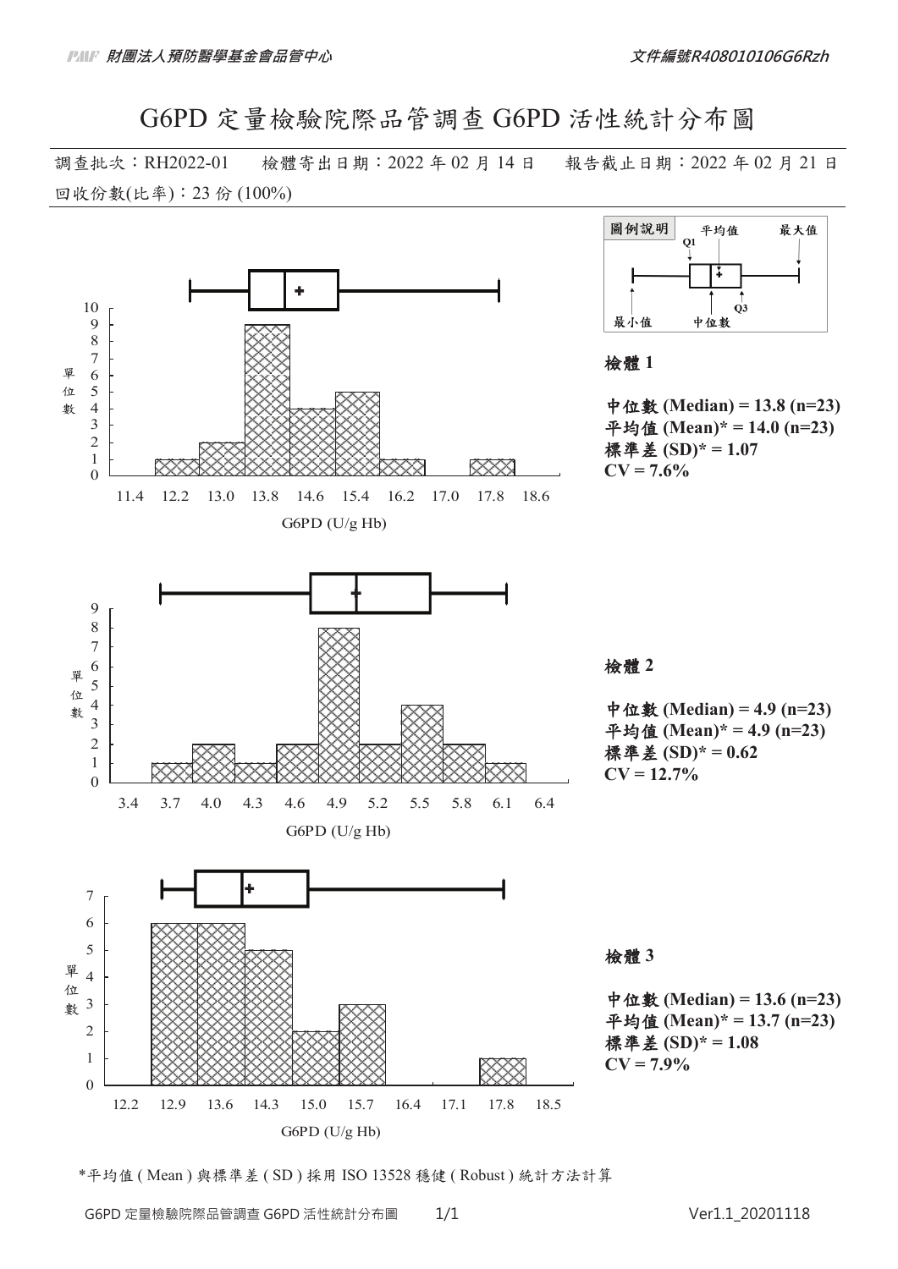G6PD 定量檢驗院際品管調查 G6PD 活性統計分布圖

調查批次:RH2022-01 檢體寄出日期:2022 年 02 月 14 日 報告截止日期:2022 年 02 月 21 日 回收份數(比率): 23 份 (100%)



\*平均值 ( Mean ) 與標準差 ( SD ) 採用 ISO 13528 穩健 ( Robust ) 統計方法計算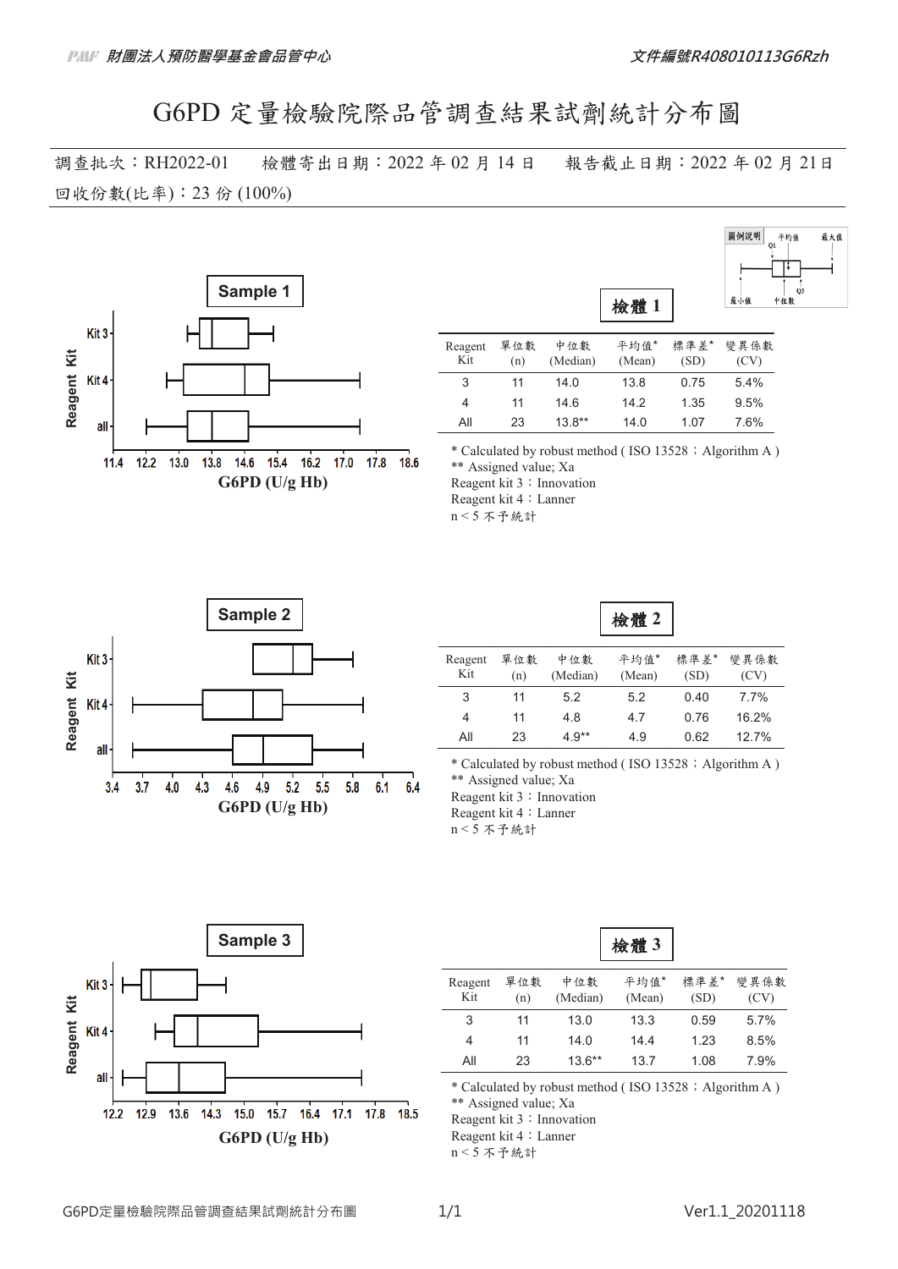# G6PD 定量檢驗院際品管調查結果試劑統計分布圖

調查批次:RH2022-01 檢體寄出日期:2022 年 02 月 14 日 報告截止日期:2022 年 02 月 21日 回收份數(比率): 23 份 (100%)



| <b>Blue 4. 4 and 1.4</b> | . <del>. .</del> | $45.75$ Hz. |
|--------------------------|------------------|-------------|
| 最小值                      | Q1<br>Q3<br>中位數  |             |
|                          |                  |             |

 $35 + 14 + 14$ 

 $x + k$ 

圖例設明

| Reagent | 單位數 | 中位數      | 平均值*   | 標準 差* | 變異係數 |
|---------|-----|----------|--------|-------|------|
| Kit     | (n) | (Median) | (Mean) | (SD)  | (CV) |
| 3       | 11  | 14.0     | 13.8   | 0.75  | 5.4% |
| 4       | 11  | 14.6     | 14.2   | 1.35  | 9.5% |
| All     | 23  | $13.8**$ | 14.0   | 1.07  | 7.6% |

\* Calculated by robust method (ISO 13528; Algorithm A) \*\* Assigned value; Xa Reagent kit 3: Innovation Reagent kit 4: Lanner

 $n < 5$  不予統計



| 似下语 |  |
|-----|--|
|-----|--|

| Reagent<br>Kit | 單位數<br>(n) | 中位數<br>(Median) | 平均值*<br>(Mean) | 標準差*<br>(SD) | 變異係數<br>(CV) |
|----------------|------------|-----------------|----------------|--------------|--------------|
| 3              | 11         | 5.2             | 5.2            | 0.40         | 7.7%         |
| 4              | 11         | 4.8             | 4.7            | 0.76         | 16.2%        |
| All            | 23         | $4.9**$         | 49             | 0.62         | 127%         |

\* Calculated by robust method (ISO 13528; Algorithm A) \*\* Assigned value; Xa Reagent kit 3: Innovation Reagent kit 4: Lanner

 $n < 5$  不予統計



|                |            |                 | 檢體3            |              |              |
|----------------|------------|-----------------|----------------|--------------|--------------|
| Reagent<br>Kit | 單位數<br>(n) | 中位數<br>(Median) | 平均值*<br>(Mean) | 標準差*<br>(SD) | 變異係數<br>(CV) |
| 3              | 11         | 13.0            | 13.3           | 0.59         | 5.7%         |
| 4              | 11         | 14.0            | 14.4           | 1.23         | 8.5%         |
| All            | 23         | $13.6***$       | 13.7           | 1.08         | 7.9%         |

\* Calculated by robust method (ISO 13528; Algorithm A)

\*\* Assigned value; Xa

Reagent kit 3: Innovation

Reagent kit 4: Lanner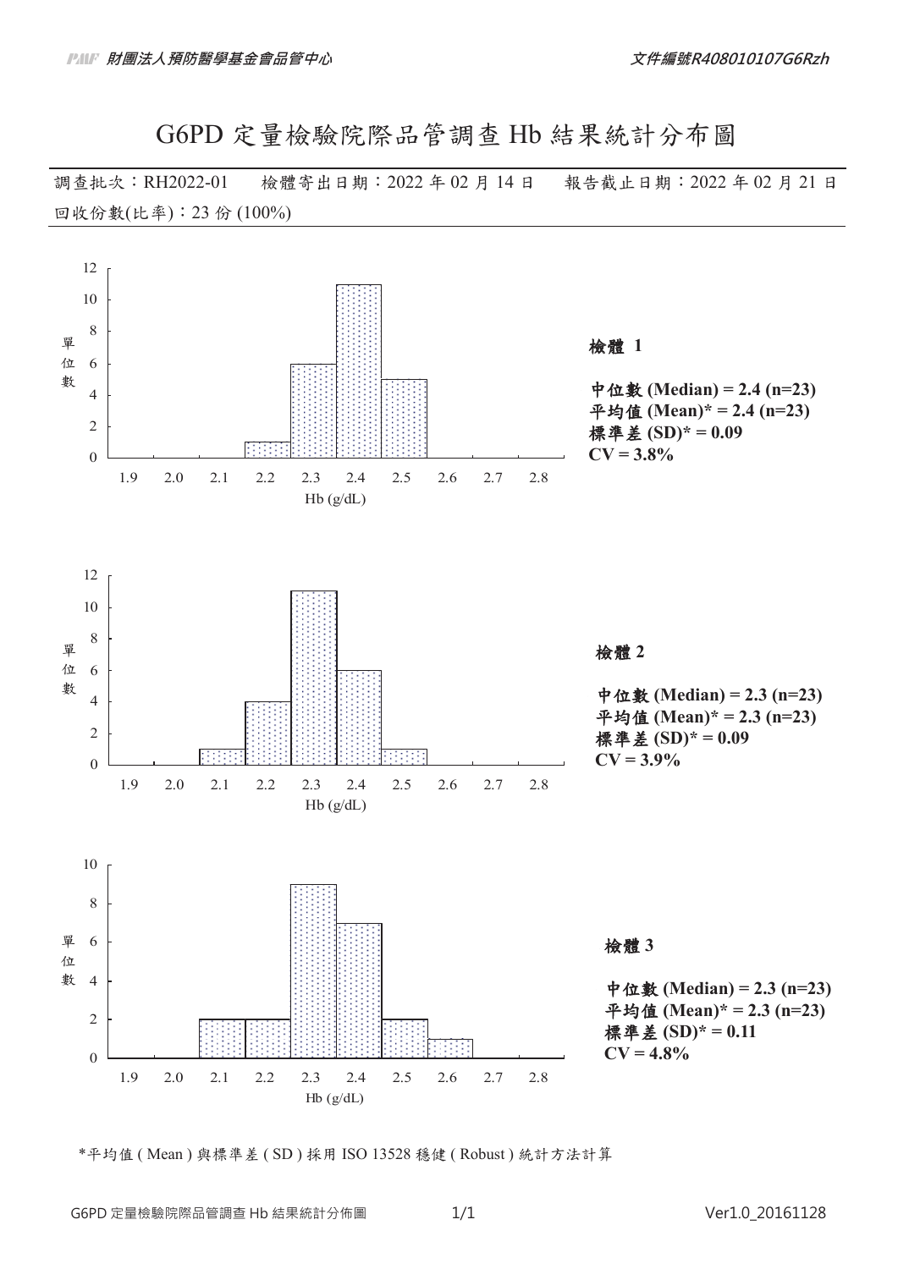G6PD 定量檢驗院際品管調查 Hb 結果統計分布圖

調查批次:RH2022-01 檢體寄出日期:2022 年 02 月 14 日 報告截止日期:2022 年 02 月 21 日 回收份數(比率): 23 份 (100%)



\*平均值 ( Mean ) 與標準差 ( SD ) 採用 ISO 13528 穩健 ( Robust ) 統計方法計算